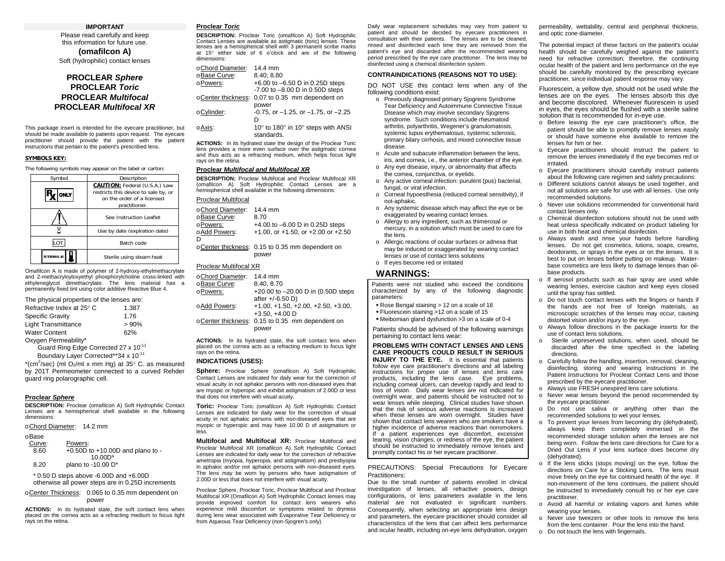## **IMPORTANT**

Please read carefully and keep this information for future use. **(omafilcon A)** 

Soft (hydrophilic) contact lenses

## **PROCLEAR** *Sphere* **PROCLEAR** *Toric* **PROCLEAR** *Multifocal*  **PROCLEAR** *Multifocal XR*

This package insert is intended for the eyecare practitioner, but should be made available to patients upon request. The eyecare practitioner should provide the patient with the patient instructions that pertain to the patient's prescribed lens.

### **SYMBOLS KEY:**

The following symbols may appear on the label or carton:

| Symbol | Description                                                                                                          |  |  |
|--------|----------------------------------------------------------------------------------------------------------------------|--|--|
| ONLY   | CAUTION: Federal (U.S.A.) Law<br>restricts this device to sale by, or<br>on the order of a licensed<br>practitioner. |  |  |
|        | See Instruction Leaflet                                                                                              |  |  |
|        | Use by date (expiration date)                                                                                        |  |  |
|        | Batch code                                                                                                           |  |  |
|        | Sterile using steam heat                                                                                             |  |  |

Omafilcon A is made of polymer of 2-hydroxy-ethylmethacrylate and 2-methacryloyloxyethyl phosphorylcholine cross-linked with ethyleneglycol dimethacrylate. The lens material has a permanently fixed tint using color additive Reactive Blue 4.

|  |  |  |  |  | The physical properties of the lenses are: |
|--|--|--|--|--|--------------------------------------------|
|--|--|--|--|--|--------------------------------------------|

| Refractive Index at 25° C                        | 1.387 |
|--------------------------------------------------|-------|
| <b>Specific Gravity</b>                          | 1.76  |
| <b>Light Transmittance</b>                       | >90%  |
| <b>Water Content</b>                             | 62%   |
| Oxygen Permeability*                             |       |
| Guard Ring Edge Corrected 27 x 10 <sup>-11</sup> |       |

Boundary Layer Corrected\*\*34 x 10<sup>-11</sup>

 $*(cm^2/sec)$  (ml O<sub>2</sub>/ml x mm Hg) at 35 $\degree$  C. as measured by 201T Permeometer connected to a curved Rehder guard ring polarographic cell.

## **Proclear** *Sphere*

**DESCRIPTION:** Proclear (omafilcon A) Soft Hydrophilic Contact Lenses are a hemispherical shell available in the following dimensions:

o Chord Diameter: 14.2 mm

### o Base

| Curve: | Powers:                              |
|--------|--------------------------------------|
| 8.60   | $+0.50D$ to $+10.00D$ and plano to - |
|        | $10.00D*$                            |
| 8.20   | plano to -10.00 D*                   |

 \* 0.50 D steps above -6.00D and +6.00D otherwise all power steps are in 0.25D increments

o Center Thickness: 0.065 to 0.35 mm dependent on power

**ACTIONS:** In its hydrated state, the soft contact lens when placed on the cornea acts as a refracting medium to focus light rays on the retina.

## **Proclear** *Toric*

**DESCRIPTION:** Proclear Toric (omafilcon A) Soft Hydrophilic Contact Lenses are available as astigmatic (toric) lenses. These lenses are a hemispherical shell with 3 permanent scribe marks at 15° either side of 6 o'clock and are of the following dimensions:

| oChord Diameter: | 14.4 mm                                         |
|------------------|-------------------------------------------------|
| oBase Curve:     | 8.40: 8.80                                      |
| oPowers:         | $+6.00$ to $-6.50$ D in 0.25D steps             |
|                  | $-7.00$ to $-8.00$ D in 0.50D steps             |
|                  | oCenter thickness: 0.07 to 0.35 mm dependent on |
|                  | power                                           |
| oCylinder:       | $-0.75$ , or $-1.25$ , or $-1.75$ , or $-2.25$  |
|                  | D                                               |
| o Axis:          | 10° to 180° in 10° steps with ANSI              |
|                  | standards.                                      |

**ACTIONS:** In its hydrated state the design of the Proclear Toric lens provides a more even surface over the astigmatic cornea and thus acts as a refracting medium, which helps focus light rays on the retina.

## **Proclear** *Multifocal and Multifocal XR*

**DESCRIPTION:** Proclear Multifocal and Proclear Multifocal XR (omafilcon A) Soft Hydrophilic Contact Lenses are a hemispherical shell available in the following dimensions:

## Proclear Multifocal

| oChord Diameter: | $14.4 \text{ mm}$                               |
|------------------|-------------------------------------------------|
| oBase Curve:     | 8.70                                            |
| oPowers:         | +4.00 to $-6.00$ D in 0.25D steps               |
| oAdd Powers:     | $+1.00$ , or $+1.50$ , or $+2.00$ or $+2.50$    |
| D                |                                                 |
|                  | oCenter thickness: 0.15 to 0.35 mm dependent on |
|                  | power                                           |

## Proclear Multifocal XR

| oChord Diameter: | 14.4 mm                                                |
|------------------|--------------------------------------------------------|
| oBase Curve:     | 8.40, 8.70                                             |
| oPowers:         | +20.00 to -20.00 D in (0.50D steps<br>after +/-6.50 D) |
| o Add Powers:    | $+1.00, +1.50, +2.00, +2.50, +3.00,$                   |
|                  | $+3.50, +4.00$ D                                       |
|                  | oCenter thickness: 0.15 to 0.35 mm dependent on        |
|                  | power                                                  |

**ACTIONS:** In its hydrated state, the soft contact lens when placed on the cornea acts as a refracting medium to focus light rays on the retina.

#### **INDICATIONS (USES):**

**Sphere:** Proclear Sphere (omafilcon A) Soft Hydrophilic Contact Lenses are indicated for daily wear for the correction of visual acuity in not aphakic persons with non-diseased eyes that are myopic or hyperopic and exhibit astigmatism of 2.00D or less that does not interfere with visual acuity.

**Toric:** Proclear Toric (omafilcon A) Soft Hydrophilic Contact Lenses are indicated for daily wear for the correction of visual acuity in not aphakic persons with non-diseased eyes that are myopic or hyperopic and may have 10.00 D of astigmatism or less.

**Multifocal and Multifocal XR:** Proclear Multifocal and Proclear Multifocal XR (omafilcon A) Soft Hydrophilic Contact Lenses are indicated for daily wear for the correction of refractive ametropia (myopia, hyperopia, and astigmatism) and presbyopia in aphakic and/or not aphakic persons with non-diseased eyes. The lens may be worn by persons who have astigmatism of 2.00D or less that does not interfere with visual acuity.

Proclear Sphere, Proclear Toric, Proclear Multifocal and Proclear Multifocal XR (Omafilcon A) Soft Hydrophilic Contact lenses may provide improved comfort for contact lens wearers who experience mild discomfort or symptoms related to dryness during lens wear associated with Evaporative Tear Deficiency or from Aqueous Tear Deficiency (non-Sjogren's only).

Daily wear replacement schedules may vary from patient to patient and should be decided by eyecare practitioners in consultation with their patients. The lenses are to be cleaned, rinsed and disinfected each time they are removed from the patient's eye and discarded after the recommended wearing period prescribed by the eye care practitioner. The lens may be disinfected using a chemical disinfection system.

## **CONTRAINDICATIONS (REASONS NOT TO USE):**

DO NOT USE this contact lens when any of the following conditions exist:

- o Previously diagnosed primary Sjogrens Syndrome Tear Deficiency and Autoimmune Connective Tissue Disease which may involve secondary Sjogrens syndrome. Such conditions include rheumatoid arthritis, polyarthritis, Wegener's granulomatosis, systemic lupus erythematosus, systemic sclerosis, primary bilary cirrhosis, and mixed connective tissue disease.
- o Acute and subacute inflammation between the lens, iris, and cornea, i.e., the anterior chamber of the eye.
	- o Any eye disease, injury, or abnormality that affects the cornea, conjunctiva, or eyelids.
	- o Any active corneal infection: purulent (pus) bacterial, fungal, or viral infection.
	- o Corneal hypoesthesia (reduced corneal sensitivity), if not-aphakic.
	- o Any systemic disease which may affect the eye or be exaggerated by wearing contact lenses.
	- o Allergy to any ingredient, such as thimerosal or mercury, in a solution which must be used to care for the lens.
- o Allergic reactions of ocular surfaces or adnexa that may be induced or exaggerated by wearing contact lenses or use of contact lens solutions
	- o If eyes become red or irritated

## **WARNINGS:**

Patients were not studied who exceed the conditions characterized by any of the following diagnostic parameters:

- Rose Bengal staining > 12 on a scale of 18
- Fluorescein staining >12 on a scale of 15
- Meibomian gland dysfunction >3 on a scale of 0-4

Patients should be advised of the following warnings pertaining to contact lens wear:

#### **PROBLEMS WITH CONTACT LENSES AND LENS CARE PRODUCTS COULD RESULT IN SERIOUS**

 **INJURY TO THE EYE.** It is essential that patients follow eye care practitioner's directions and all labeling instructions for proper use of lenses and lens care products, including the lens case. Eye problems, including corneal ulcers, can develop rapidly and lead to loss of vision. Daily wear lenses are not indicated for overnight wear, and patients should be instructed not to wear lenses while sleeping. Clinical studies have shown that the risk of serious adverse reactions is increased when these lenses are worn overnight. Studies have shown that contact lens wearers who are smokers have a higher incidence of adverse reactions than nonsmokers. If a patient experiences eye discomfort, excessive tearing, vision changes, or redness of the eye, the patient should be instructed to immediately remove lenses and promptly contact his or her eyecare practitioner.

PRECAUTIONS: Special Precautions for Eyecare Practitioners:

 Due to the small number of patients enrolled in clinical investigation of lenses, all refractive powers, design configurations, or lens parameters available in the lens material are not evaluated in significant numbers. Consequently, when selecting an appropriate lens design and parameters, the eyecare practitioner should consider all characteristics of the lens that can affect lens performance and ocular health, including on-eye lens dehydration, oxygen permeability, wettability, central and peripheral thickness, and optic zone diameter.

The potential impact of these factors on the patient's ocular health should be carefully weighed against the patient's need for refractive correction; therefore, the continuing ocular health of the patient and lens performance on the eye should be carefully monitored by the prescribing eyecare practitioner, since individual patient response may vary.

Fluorescein, a yellow dye, should not be used while the lenses are on the eyes. The lenses absorb this dye and become discolored. Whenever fluorescein is used in eyes, the eyes should be flushed with a sterile saline solution that is recommended for in-eye use.

- o Before leaving the eye care practitioner's office, the patient should be able to promptly remove lenses easily or should have someone else available to remove the lenses for him or her.
- o Eyecare practitioners should instruct the patient to remove the lenses immediately if the eye becomes red or irritated.
- o Eyecare practitioners should carefully instruct patients about the following care regimen and safety precautions:
- o Different solutions cannot always be used together, and not all solutions are safe for use with all lenses. Use only recommended solutions.
- o Never use solutions recommended for conventional hard contact lenses only.
- o Chemical disinfection solutions should not be used with heat unless specifically indicated on product labeling for use in both heat and chemical disinfection.
- o Always wash and rinse your hands before handling lenses. Do not get cosmetics, lotions, soaps, creams, deodorants, or sprays in the eyes or on the lenses. It is best to put on lenses before putting on makeup. Waterbase cosmetics are less likely to damage lenses than oilbase products.
- o If aerosol products such as hair spray are used while wearing lenses, exercise caution and keep eyes closed until the spray has settled.
- o Do not touch contact lenses with the fingers or hands if the hands are not free of foreign materials, as microscopic scratches of the lenses may occur, causing distorted vision and/or injury to the eye.
- o Always follow directions in the package inserts for the use of contact lens solutions.
- o Sterile unpreserved solutions, when used, should be discarded after the time specified in the labeling directions.
- o Carefully follow the handling, insertion, removal, cleaning, disinfecting, storing and wearing instructions in the Patient Instructions for Proclear Contact Lens and those prescribed by the eyecare practitioner.
- o Always use FRESH unexpired lens care solutions.
- o Never wear lenses beyond the period recommended by the eyecare practitioner.
- o Do not use saliva or anything other than the recommended solutions to wet your lenses.
- o To prevent your lenses from becoming dry (dehydrated), always keep them completely immersed in the recommended storage solution when the lenses are not being worn. Follow the lens care directions for Care for a Dried Out Lens if your lens surface does become dry (dehydrated).
- o If the lens sticks (stops moving) on the eye, follow the directions on Care for a Sticking Lens. The lens must move freely on the eye for continued health of the eye. If non-movement of the lens continues, the patient should be instructed to immediately consult his or her eye care practitioner.
- o Avoid all harmful or irritating vapors and fumes while wearing your lenses.
- o Never use tweezers or other tools to remove the lens from the lens container. Pour the lens into the hand.
- o Do not touch the lens with fingernails.